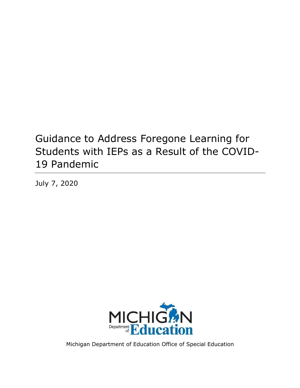# Guidance to Address Foregone Learning for Students with IEPs as a Result of the COVID-19 Pandemic

July 7, 2020



Michigan Department of Education Office of Special Education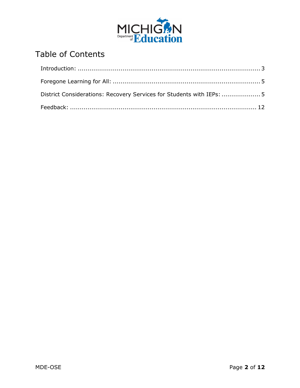

## Table of Contents

| District Considerations: Recovery Services for Students with IEPs:  5 |  |
|-----------------------------------------------------------------------|--|
|                                                                       |  |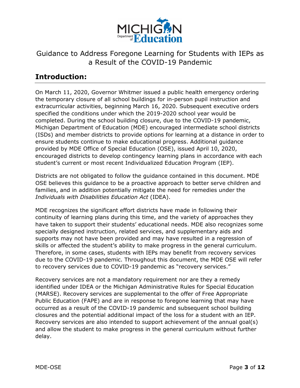

## Guidance to Address Foregone Learning for Students with IEPs as a Result of the COVID-19 Pandemic

## <span id="page-2-0"></span>**Introduction:**

On March 11, 2020, Governor Whitmer issued a public health emergency ordering the temporary closure of all school buildings for in-person pupil instruction and extracurricular activities, beginning March 16, 2020. Subsequent executive orders specified the conditions under which the 2019-2020 school year would be completed. During the school building closure, due to the COVID-19 pandemic, Michigan Department of Education (MDE) encouraged intermediate school districts (ISDs) and member districts to provide options for learning at a distance in order to ensure students continue to make educational progress. Additional guidance provided by MDE Office of Special Education (OSE), issued April 10, 2020, encouraged districts to develop contingency learning plans in accordance with each student's current or most recent Individualized Education Program (IEP).

Districts are not obligated to follow the guidance contained in this document. MDE OSE believes this guidance to be a proactive approach to better serve children and families, and in addition potentially mitigate the need for remedies under the *Individuals with Disabilities Education Act* (IDEA).

MDE recognizes the significant effort districts have made in following their continuity of learning plans during this time, and the variety of approaches they have taken to support their students' educational needs. MDE also recognizes some specially designed instruction, related services, and supplementary aids and supports may not have been provided and may have resulted in a regression of skills or affected the student's ability to make progress in the general curriculum. Therefore, in some cases, students with IEPs may benefit from recovery services due to the COVID-19 pandemic. Throughout this document, the MDE OSE will refer to recovery services due to COVID-19 pandemic as "recovery services."

Recovery services are not a mandatory requirement nor are they a remedy identified under IDEA or the Michigan Administrative Rules for Special Education (MARSE). Recovery services are supplemental to the offer of Free Appropriate Public Education (FAPE) and are in response to foregone learning that may have occurred as a result of the COVID-19 pandemic and subsequent school building closures and the potential additional impact of the loss for a student with an IEP. Recovery services are also intended to support achievement of the annual goal(s) and allow the student to make progress in the general curriculum without further delay.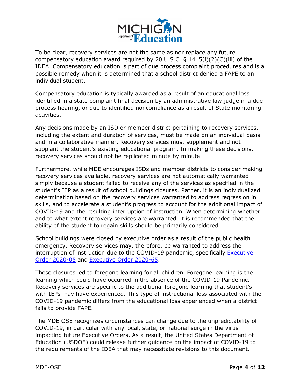

To be clear, recovery services are not the same as nor replace any future compensatory education award required by 20 U.S.C. § 1415(i)(2)(C)(iii) of the IDEA. Compensatory education is part of due process complaint procedures and is a possible remedy when it is determined that a school district denied a FAPE to an individual student.

Compensatory education is typically awarded as a result of an educational loss identified in a state complaint final decision by an administrative law judge in a due process hearing, or due to identified noncompliance as a result of State monitoring activities.

Any decisions made by an ISD or member district pertaining to recovery services, including the extent and duration of services, must be made on an individual basis and in a collaborative manner. Recovery services must supplement and not supplant the student's existing educational program. In making these decisions, recovery services should not be replicated minute by minute.

Furthermore, while MDE encourages ISDs and member districts to consider making recovery services available, recovery services are not automatically warranted simply because a student failed to receive any of the services as specified in the student's IEP as a result of school buildings closures. Rather, it is an individualized determination based on the recovery services warranted to address regression in skills, and to accelerate a student's progress to account for the additional impact of COVID-19 and the resulting interruption of instruction. When determining whether and to what extent recovery services are warranted, it is recommended that the ability of the student to regain skills should be primarily considered.

School buildings were closed by executive order as a result of the public health emergency. Recovery services may, therefore, be warranted to address the interruption of instruction due to the COVID-19 pandemic, specifically **Executive** [Order 2020-05](https://www.michigan.gov/whitmer/0,9309,7-387-90499_90705-521595--,00.html) and [Executive Order 2020-65.](https://www.michigan.gov/whitmer/0,9309,7-387-90499_90705-527719--,00.html)

These closures led to foregone learning for all children. Foregone learning is the learning which could have occurred in the absence of the COVID-19 Pandemic. Recovery services are specific to the additional foregone learning that student's with IEPs may have experienced. This type of instructional loss associated with the COVID-19 pandemic differs from the educational loss experienced when a district fails to provide FAPE.

The MDE OSE recognizes circumstances can change due to the unpredictability of COVID-19, in particular with any local, state, or national surge in the virus impacting future Executive Orders. As a result, the United States Department of Education (USDOE) could release further guidance on the impact of COVID-19 to the requirements of the IDEA that may necessitate revisions to this document.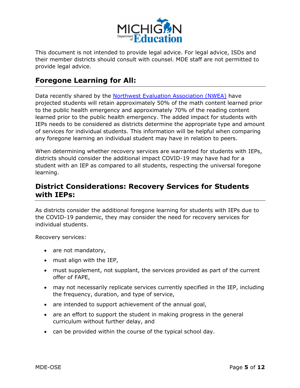

This document is not intended to provide legal advice. For legal advice, ISDs and their member districts should consult with counsel. MDE staff are not permitted to provide legal advice.

## <span id="page-4-0"></span>**Foregone Learning for All:**

Data recently shared by the [Northwest Evaluation Association \(NWEA\)](https://www.nwea.org/content/uploads/2020/05/Collaborative-Brief_Covid19-Slide-APR20.pdf) have projected students will retain approximately 50% of the math content learned prior to the public health emergency and approximately 70% of the reading content learned prior to the public health emergency. The added impact for students with IEPs needs to be considered as districts determine the appropriate type and amount of services for individual students. This information will be helpful when comparing any foregone learning an individual student may have in relation to peers.

When determining whether recovery services are warranted for students with IEPs, districts should consider the additional impact COVID-19 may have had for a student with an IEP as compared to all students, respecting the universal foregone learning.

## <span id="page-4-1"></span>**District Considerations: Recovery Services for Students with IEPs:**

As districts consider the additional foregone learning for students with IEPs due to the COVID-19 pandemic, they may consider the need for recovery services for individual students.

Recovery services:

- · are not mandatory,
- · must align with the IEP,
- · must supplement, not supplant, the services provided as part of the current offer of FAPE,
- · may not necessarily replicate services currently specified in the IEP, including the frequency, duration, and type of service,
- · are intended to support achievement of the annual goal,
- · are an effort to support the student in making progress in the general curriculum without further delay, and
- · can be provided within the course of the typical school day.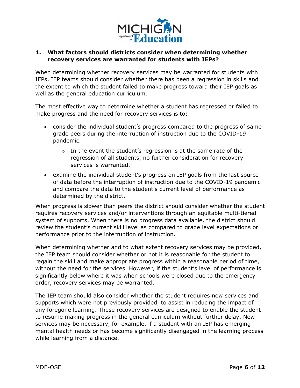

#### **1. What factors should districts consider when determining whether recovery services are warranted for students with IEPs?**

When determining whether recovery services may be warranted for students with IEPs, IEP teams should consider whether there has been a regression in skills and the extent to which the student failed to make progress toward their IEP goals as well as the general education curriculum.

The most effective way to determine whether a student has regressed or failed to make progress and the need for recovery services is to:

- · consider the individual student's progress compared to the progress of same grade peers during the interruption of instruction due to the COVID-19 pandemic.
	- $\circ$  In the event the student's regression is at the same rate of the regression of all students, no further consideration for recovery services is warranted.
- · examine the individual student's progress on IEP goals from the last source of data before the interruption of instruction due to the COVID-19 pandemic and compare the data to the student's current level of performance as determined by the district.

When progress is slower than peers the district should consider whether the student requires recovery services and/or interventions through an equitable multi-tiered system of supports. When there is no progress data available, the district should review the student's current skill level as compared to grade level expectations or performance prior to the interruption of instruction.

When determining whether and to what extent recovery services may be provided, the IEP team should consider whether or not it is reasonable for the student to regain the skill and make appropriate progress within a reasonable period of time, without the need for the services. However, if the student's level of performance is significantly below where it was when schools were closed due to the emergency order, recovery services may be warranted.

The IEP team should also consider whether the student requires new services and supports which were not previously provided, to assist in reducing the impact of any foregone learning. These recovery services are designed to enable the student to resume making progress in the general curriculum without further delay. New services may be necessary, for example, if a student with an IEP has emerging mental health needs or has become significantly disengaged in the learning process while learning from a distance.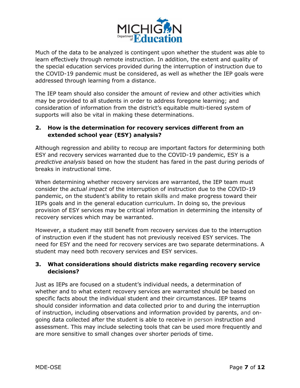

Much of the data to be analyzed is contingent upon whether the student was able to learn effectively through remote instruction. In addition, the extent and quality of the special education services provided during the interruption of instruction due to the COVID-19 pandemic must be considered, as well as whether the IEP goals were addressed through learning from a distance.

The IEP team should also consider the amount of review and other activities which may be provided to all students in order to address foregone learning; and consideration of information from the district's equitable multi-tiered system of supports will also be vital in making these determinations.

#### **2. How is the determination for recovery services different from an extended school year (ESY) analysis?**

Although regression and ability to recoup are important factors for determining both ESY and recovery services warranted due to the COVID-19 pandemic, ESY is a *predictive analysis* based on how the student has fared in the past during periods of breaks in instructional time.

When determining whether recovery services are warranted, the IEP team must consider the *actual impact* of the interruption of instruction due to the COVID-19 pandemic, on the student's ability to retain skills and make progress toward their IEPs goals and in the general education curriculum. In doing so, the previous provision of ESY services may be critical information in determining the intensity of recovery services which may be warranted.

However, a student may still benefit from recovery services due to the interruption of instruction even if the student has not previously received ESY services. The need for ESY and the need for recovery services are two separate determinations. A student may need both recovery services and ESY services.

#### **3. What considerations should districts make regarding recovery service decisions?**

Just as IEPs are focused on a student's individual needs, a determination of whether and to what extent recovery services are warranted should be based on specific facts about the individual student and their circumstances. IEP teams should consider information and data collected prior to and during the interruption of instruction, including observations and information provided by parents, and ongoing data collected after the student is able to receive in person instruction and assessment. This may include selecting tools that can be used more frequently and are more sensitive to small changes over shorter periods of time.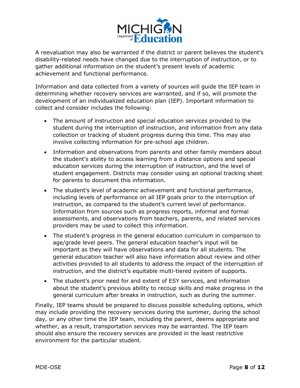

A reevaluation may also be warranted if the district or parent believes the student's disability-related needs have changed due to the interruption of instruction, or to gather additional information on the student's present levels of academic achievement and functional performance.

Information and data collected from a variety of sources will guide the IEP team in determining whether recovery services are warranted, and if so, will promote the development of an individualized education plan (IEP). Important information to collect and consider includes the following:

- · The amount of instruction and special education services provided to the student during the interruption of instruction, and information from any data collection or tracking of student progress during this time. This may also involve collecting information for pre-school age children.
- · Information and observations from parents and other family members about the student's ability to access learning from a distance options and special education services during the interruption of instruction, and the level of student engagement. Districts may consider using an optional tracking sheet for parents to document this information.
- · The student's level of academic achievement and functional performance, including levels of performance on all IEP goals prior to the interruption of instruction, as compared to the student's current level of performance. Information from sources such as progress reports, informal and formal assessments, and observations from teachers, parents, and related services providers may be used to collect this information.
- · The student's progress in the general education curriculum in comparison to age/grade level peers. The general education teacher's input will be important as they will have observations and data for all students. The general education teacher will also have information about review and other activities provided to all students to address the impact of the interruption of instruction, and the district's equitable multi-tiered system of supports.
- · The student's prior need for and extent of ESY services, and information about the student's previous ability to recoup skills and make progress in the general curriculum after breaks in instruction, such as during the summer.

Finally, IEP teams should be prepared to discuss possible scheduling options, which may include providing the recovery services during the summer, during the school day, or any other time the IEP team, including the parent, deems appropriate and whether, as a result, transportation services may be warranted. The IEP team should also ensure the recovery services are provided in the least restrictive environment for the particular student.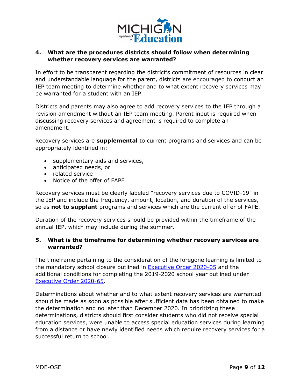

#### **4. What are the procedures districts should follow when determining whether recovery services are warranted?**

In effort to be transparent regarding the district's commitment of resources in clear and understandable language for the parent, districts are encouraged to conduct an IEP team meeting to determine whether and to what extent recovery services may be warranted for a student with an IEP.

Districts and parents may also agree to add recovery services to the IEP through a revision amendment without an IEP team meeting. Parent input is required when discussing recovery services and agreement is required to complete an amendment.

Recovery services are **supplemental** to current programs and services and can be appropriately identified in:

- · supplementary aids and services,
- · anticipated needs, or
- · related service
- · Notice of the offer of FAPE

Recovery services must be clearly labeled "recovery services due to COVID-19" in the IEP and include the frequency, amount, location, and duration of the services, so as **not to supplant** programs and services which are the current offer of FAPE.

Duration of the recovery services should be provided within the timeframe of the annual IEP, which may include during the summer.

#### **5. What is the timeframe for determining whether recovery services are warranted?**

The timeframe pertaining to the consideration of the foregone learning is limited to the mandatory school closure outlined in [Executive Order 2020-05](https://www.michigan.gov/whitmer/0,9309,7-387-90499_90705-521595--,00.html) and the additional conditions for completing the 2019-2020 school year outlined under [Executive Order 2020-65](https://www.michigan.gov/whitmer/0,9309,7-387-90499_90705-527719--,00.html).

Determinations about whether and to what extent recovery services are warranted should be made as soon as possible after sufficient data has been obtained to make the determination and no later than December 2020. In prioritizing these determinations, districts should first consider students who did not receive special education services, were unable to access special education services during learning from a distance or have newly identified needs which require recovery services for a successful return to school.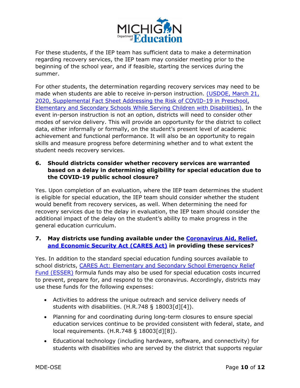

For these students, if the IEP team has sufficient data to make a determination regarding recovery services, the IEP team may consider meeting prior to the beginning of the school year, and if feasible, starting the services during the summer.

For other students, the determination regarding recovery services may need to be made when students are able to receive in-person instruction. (USDOE, March 21, [2020, Supplemental Fact Sheet Addressing the Risk of COVID-19 in Preschool,](https://www2.ed.gov/about/offices/list/ocr/frontpage/faq/rr/policyguidance/Supple Fact Sheet 3.21.20 FINAL.pdf)  [Elementary and Secondary Schools While Serving Children with Disabilities\).](https://www2.ed.gov/about/offices/list/ocr/frontpage/faq/rr/policyguidance/Supple Fact Sheet 3.21.20 FINAL.pdf) In the event in-person instruction is not an option, districts will need to consider other modes of service delivery. This will provide an opportunity for the district to collect data, either informally or formally, on the student's present level of academic achievement and functional performance. It will also be an opportunity to regain skills and measure progress before determining whether and to what extent the student needs recovery services.

#### **6. Should districts consider whether recovery services are warranted based on a delay in determining eligibility for special education due to the COVID-19 public school closure?**

Yes. Upon completion of an evaluation, where the IEP team determines the student is eligible for special education, the IEP team should consider whether the student would benefit from recovery services, as well. When determining the need for recovery services due to the delay in evaluation, the IEP team should consider the additional impact of the delay on the student's ability to make progress in the general education curriculum.

#### **7. May districts use funding available under the [Coronavirus Aid, Relief,](https://home.treasury.gov/policy-issues/cares)  [and Economic Security Act \(CARES Act\)](https://home.treasury.gov/policy-issues/cares) in providing these services?**

Yes. In addition to the standard special education funding sources available to school districts, CARES Act: Elementary and Secondary School Emergency Relief [Fund \(ESSER\)](https://oese.ed.gov/offices/education-stabilization-fund/elementary-secondary-school-emergency-relief-fund/#:~:text=Congress%20set%20aside%20approximately%20%2413.2,Relief%20Fund%20(ESSER%20Fund).) formula funds may also be used for special education costs incurred to prevent, prepare for, and respond to the coronavirus. Accordingly, districts may use these funds for the following expenses:

- · Activities to address the unique outreach and service delivery needs of students with disabilities. (H.R.748 § 18003[d][4]).
- · Planning for and coordinating during long-term closures to ensure special education services continue to be provided consistent with federal, state, and local requirements. (H.R.748 § 18003[d][8]).
- · Educational technology (including hardware, software, and connectivity) for students with disabilities who are served by the district that supports regular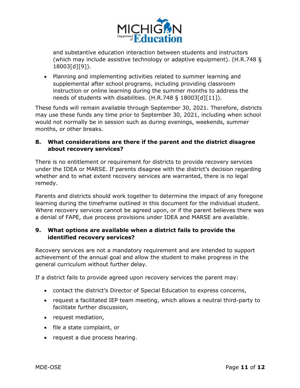

and substantive education interaction between students and instructors (which may include assistive technology or adaptive equipment). (H.R.748 § 18003[d][9]).

· Planning and implementing activities related to summer learning and supplemental after school programs, including providing classroom instruction or online learning during the summer months to address the needs of students with disabilities. (H.R.748 § 18003[d][11]).

These funds will remain available through September 30, 2021. Therefore, districts may use these funds any time prior to September 30, 2021, including when school would not normally be in session such as during evenings, weekends, summer months, or other breaks.

#### **8. What considerations are there if the parent and the district disagree about recovery services?**

There is no entitlement or requirement for districts to provide recovery services under the IDEA or MARSE. If parents disagree with the district's decision regarding whether and to what extent recovery services are warranted, there is no legal remedy.

Parents and districts should work together to determine the impact of any foregone learning during the timeframe outlined in this document for the individual student. Where recovery services cannot be agreed upon, or if the parent believes there was a denial of FAPE, due process provisions under IDEA and MARSE are available.

#### **9. What options are available when a district fails to provide the identified recovery services?**

Recovery services are not a mandatory requirement and are intended to support achievement of the annual goal and allow the student to make progress in the general curriculum without further delay.

If a district fails to provide agreed upon recovery services the parent may:

- · contact the district's Director of Special Education to express concerns,
- · request a facilitated IEP team meeting, which allows a neutral third-party to facilitate further discussion,
- · request mediation,
- · file a state complaint, or
- · request a due process hearing.